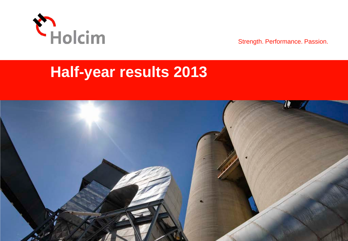

Strength. Performance. Passion.

# **Half-year results 2013**

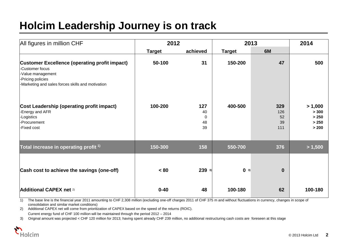# **Holcim Leadership Journey is on track**

| All figures in million CHF                                                                                                                                             | 2012          |                                   | 2013          |                               | 2014                                        |
|------------------------------------------------------------------------------------------------------------------------------------------------------------------------|---------------|-----------------------------------|---------------|-------------------------------|---------------------------------------------|
|                                                                                                                                                                        | <b>Target</b> | achieved                          | <b>Target</b> | 6M                            |                                             |
| <b>Customer Excellence (operating profit impact)</b><br>-Customer focus<br>-Value management<br>-Pricing policies<br>-Marketing and sales forces skills and motivation | 50-100        | 31                                | 150-200       | 47                            | 500                                         |
| Cost Leadership (operating profit impact)<br>-Energy and AFR<br>-Logistics<br>-Procurement<br>-Fixed cost                                                              | 100-200       | 127<br>40<br>$\Omega$<br>48<br>39 | 400-500       | 329<br>126<br>52<br>39<br>111 | > 1,000<br>> 300<br>> 250<br>> 250<br>> 200 |
| Total increase in operating profit <sup>1)</sup>                                                                                                                       | 150-300       | 158                               | 550-700       | 376                           | > 1,500                                     |
| Cash cost to achieve the savings (one-off)                                                                                                                             | < 80          | $239$ 3)                          | 03)           | $\bf{0}$                      |                                             |
| Additional CAPEX net 2)                                                                                                                                                | $0 - 40$      | 48                                | 100-180       | 62                            | 100-180                                     |

1) The base line is the financial year 2011 amounting to CHF 2,308 million (excluding one-off charges 2011 of CHF 375 m and without fluctuations in currency, changes in scope of consolidation and similar market conditions)

2) Additional CAPEX net will come from prioritization of CAPEX based on the speed of the returns (ROIC). Current energy fund of CHF 100 million will be maintained through the period 2012 – 2014

3) Original amount was projected < CHF 120 million for 2013; having spent already CHF 239 million, no additional restructuring cash costs are foreseen at this stage

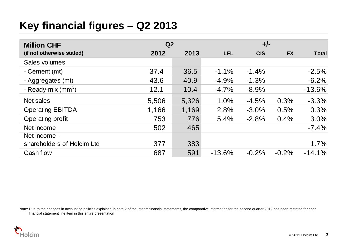# **Key financial figures – Q2 2013**

| <b>Million CHF</b>         | Q <sub>2</sub> |       | $+/-$      |            |           |              |
|----------------------------|----------------|-------|------------|------------|-----------|--------------|
| (if not otherwise stated)  | 2012           | 2013  | <b>LFL</b> | <b>CIS</b> | <b>FX</b> | <b>Total</b> |
| Sales volumes              |                |       |            |            |           |              |
| - Cement (mt)              | 37.4           | 36.5  | $-1.1%$    | $-1.4%$    |           | $-2.5%$      |
| - Aggregates (mt)          | 43.6           | 40.9  | $-4.9%$    | $-1.3%$    |           | $-6.2%$      |
| - Ready-mix $(mm3)$        | 12.1           | 10.4  | $-4.7%$    | $-8.9%$    |           | $-13.6%$     |
| Net sales                  | 5,506          | 5,326 | 1.0%       | $-4.5%$    | 0.3%      | $-3.3%$      |
| <b>Operating EBITDA</b>    | 1,166          | 1,169 | 2.8%       | $-3.0%$    | 0.5%      | 0.3%         |
| Operating profit           | 753            | 776   | 5.4%       | $-2.8%$    | 0.4%      | 3.0%         |
| Net income                 | 502            | 465   |            |            |           | $-7.4%$      |
| Net income -               |                |       |            |            |           |              |
| shareholders of Holcim Ltd | 377            | 383   |            |            |           | 1.7%         |
| Cash flow                  | 687            | 591   | $-13.6%$   | $-0.2%$    | $-0.2%$   | $-14.1%$     |

Note: Due to the changes in accounting policies explained in note 2 of the interim financial statements, the comparative information for the second quarter 2012 has been restated for each financial statement line item in this entire presentation

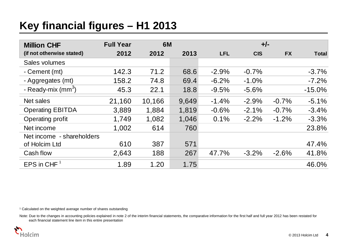# **Key financial figures – H1 2013**

| <b>Million CHF</b>          | <b>Full Year</b> | <b>6M</b> |       |            | $+/-$      |           |              |
|-----------------------------|------------------|-----------|-------|------------|------------|-----------|--------------|
| (if not otherwise stated)   | 2012             | 2012      | 2013  | <b>LFL</b> | <b>CIS</b> | <b>FX</b> | <b>Total</b> |
| Sales volumes               |                  |           |       |            |            |           |              |
| - Cement (mt)               | 142.3            | 71.2      | 68.6  | $-2.9%$    | $-0.7%$    |           | $-3.7%$      |
| - Aggregates (mt)           | 158.2            | 74.8      | 69.4  | $-6.2%$    | $-1.0%$    |           | $-7.2%$      |
| - Ready-mix $\text{(mm}^3)$ | 45.3             | 22.1      | 18.8  | $-9.5%$    | $-5.6%$    |           | $-15.0%$     |
| Net sales                   | 21,160           | 10,166    | 9,649 | $-1.4%$    | $-2.9%$    | $-0.7%$   | $-5.1%$      |
| <b>Operating EBITDA</b>     | 3,889            | 1,884     | 1,819 | $-0.6%$    | $-2.1%$    | $-0.7%$   | $-3.4%$      |
| Operating profit            | 1,749            | 1,082     | 1,046 | 0.1%       | $-2.2%$    | $-1.2%$   | $-3.3%$      |
| Net income                  | 1,002            | 614       | 760   |            |            |           | 23.8%        |
| Net income - shareholders   |                  |           |       |            |            |           |              |
| of Holcim Ltd               | 610              | 387       | 571   |            |            |           | 47.4%        |
| Cash flow                   | 2,643            | 188       | 267   | 47.7%      | $-3.2%$    | $-2.6%$   | 41.8%        |
| EPS in CHF $1$              | 1.89             | 1.20      | 1.75  |            |            |           | 46.0%        |

<sup>1</sup> Calculated on the weighted average number of shares outstanding

Note: Due to the changes in accounting policies explained in note 2 of the interim financial statements, the comparative information for the first half and full year 2012 has been restated for each financial statement line item in this entire presentation

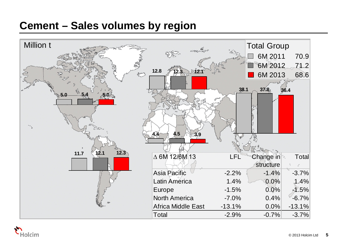# **Cement – Sales volumes by region**



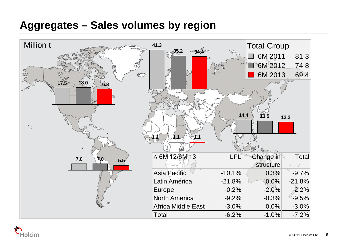# **Aggregates – Sales volumes by region**



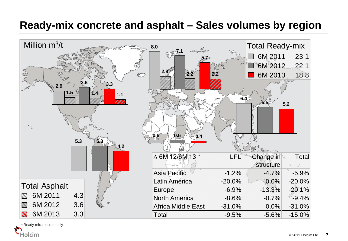# **Ready-mix concrete and asphalt – Sales volumes by region**



Ready-mix concrete only Holcim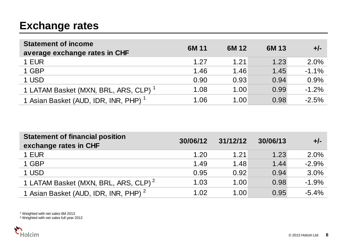# **Exchange rates**

| <b>Statement of income</b><br>average exchange rates in CHF | 6M 11 | 6M 12 | 6M 13 | $+/-$   |
|-------------------------------------------------------------|-------|-------|-------|---------|
| 1 EUR                                                       | 1.27  | 1.21  | 1.23  | 2.0%    |
| 1 GBP                                                       | 1.46  | 1.46  | 1.45  | $-1.1%$ |
| 1 USD                                                       | 0.90  | 0.93  | 0.94  | 0.9%    |
| 1 LATAM Basket (MXN, BRL, ARS, CLP) <sup>1</sup>            | 1.08  | 1.00  | 0.99  | $-1.2%$ |
| 1 Asian Basket (AUD, IDR, INR, PHP) <sup>1</sup>            | 1.06  | 1.00  | 0.98  | $-2.5%$ |

| <b>Statement of financial position</b><br>exchange rates in CHF | 30/06/12 | 31/12/12 | 30/06/13 | $+/-$   |
|-----------------------------------------------------------------|----------|----------|----------|---------|
| 1 EUR                                                           | 1.20     | 1.21     | 1.23     | 2.0%    |
| 1 GBP                                                           | 1.49     | 1.48     | 1.44     | $-2.9%$ |
| 1 USD                                                           | 0.95     | 0.92     | 0.94     | 3.0%    |
| 1 LATAM Basket (MXN, BRL, ARS, CLP) <sup>2</sup>                | 1.03     | 1.00     | 0.98     | $-1.9%$ |
| 1 Asian Basket (AUD, IDR, INR, PHP) <sup>2</sup>                | 1.02     | 1.00     | 0.95     | $-5.4%$ |

<sup>1</sup> Weighted with net sales 6M 2013

<sup>2</sup> Weighted with net sales full year 2012

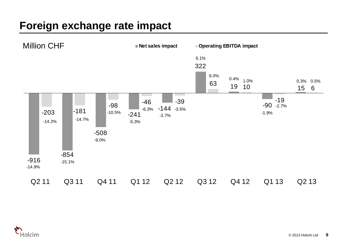# **Foreign exchange rate impact**



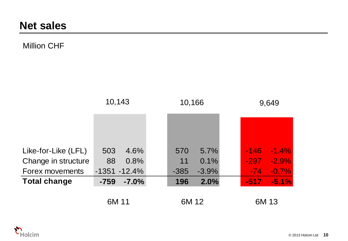## Million CHF

|                     |        | 10,143          |  | 10,166 |         | 9,649  |          |
|---------------------|--------|-----------------|--|--------|---------|--------|----------|
|                     |        |                 |  |        |         |        |          |
|                     |        |                 |  |        |         |        |          |
| Like-for-Like (LFL) | 503    | 4.6%            |  | 570    | 5.7%    | $-146$ | $-1.4\%$ |
| Change in structure | 88     | 0.8%            |  | 11     | 0.1%    | $-297$ | $-2.9\%$ |
| Forex movements     |        | $-1351 - 12.4%$ |  | $-385$ | $-3.9%$ | $-74$  | $-0.7%$  |
| <b>Total change</b> | $-759$ | $-7.0%$         |  | 196    | 2.0%    | $-517$ | $-5.1%$  |
|                     | 6M 11  |                 |  | 6M 12  |         |        | 6M 13    |

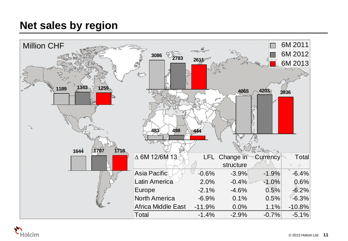# **Net sales by region**



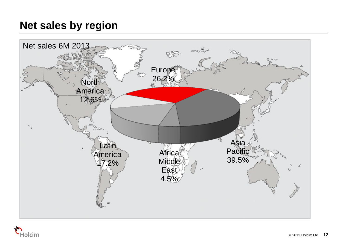# **Net sales by region**



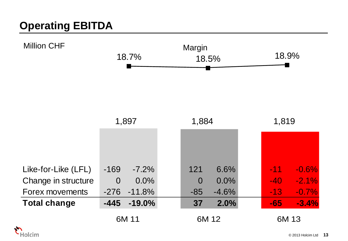# **Operating EBITDA**



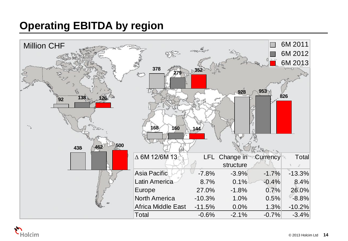# **Operating EBITDA by region**



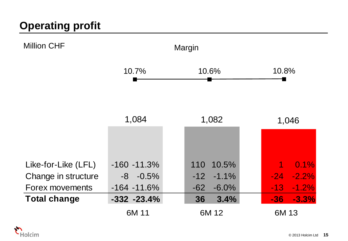

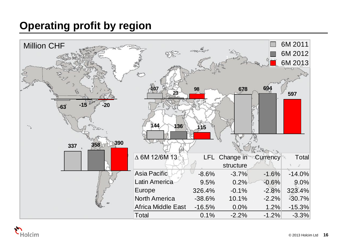# **Operating profit by region**



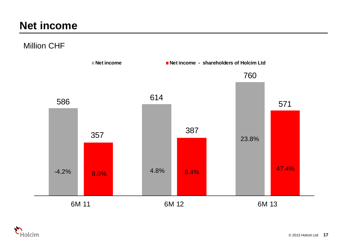# **Net income**

Million CHF



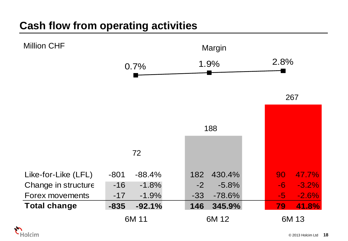# **Cash flow from operating activities**



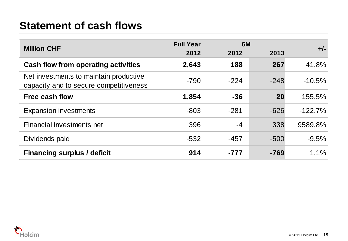# **Statement of cash flows**

| <b>Million CHF</b>                                                               | <b>Full Year</b> | 6M     |        | $+/-$     |
|----------------------------------------------------------------------------------|------------------|--------|--------|-----------|
|                                                                                  | 2012             | 2012   | 2013   |           |
| <b>Cash flow from operating activities</b>                                       | 2,643            | 188    | 267    | 41.8%     |
| Net investments to maintain productive<br>capacity and to secure competitiveness | $-790$           | $-224$ | $-248$ | $-10.5%$  |
| <b>Free cash flow</b>                                                            | 1,854            | $-36$  | 20     | 155.5%    |
| <b>Expansion investments</b>                                                     | $-803$           | $-281$ | $-626$ | $-122.7%$ |
| Financial investments net                                                        | 396              | $-4$   | 338    | 9589.8%   |
| Dividends paid                                                                   | $-532$           | $-457$ | $-500$ | $-9.5%$   |
| <b>Financing surplus / deficit</b>                                               | 914              | $-777$ | $-769$ | 1.1%      |

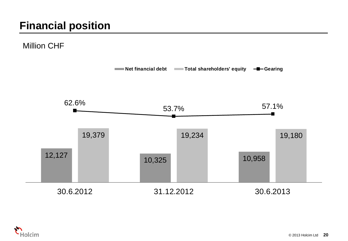Million CHF



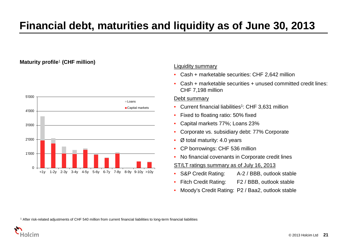# **Financial debt, maturities and liquidity as of June 30, 2013**

### **Maturity profile**<sup>1</sup> **(CHF million)**



### Liquidity summary

- Cash + marketable securities: CHF 2,642 million
- Cash + marketable securities + unused committed credit lines: CHF 7,198 million

### Debt summary

- Current financial liabilities<sup>1</sup>: CHF 3,631 million
- Fixed to floating ratio: 50% fixed
- Capital markets 77%; Loans 23%
- Corporate vs. subsidiary debt: 77% Corporate
- Ø total maturity: 4.0 years
- CP borrowings: CHF 536 million
- No financial covenants in Corporate credit lines

### ST/LT ratings summary as of July 16, 2013

- S&P Credit Rating: A-2 / BBB, outlook stable
- Fitch Credit Rating: F2 / BBB, outlook stable
- Moody's Credit Rating: P2 / Baa2, outlook stable

<sup>1</sup> After risk-related adjustments of CHF 540 million from current financial liabilities to long-term financial liabilities

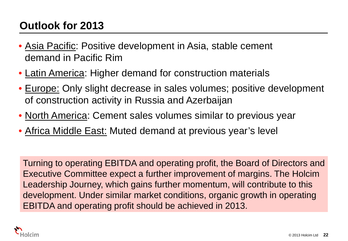# **Outlook for 2013**

- Asia Pacific: Positive development in Asia, stable cement demand in Pacific Rim
- Latin America: Higher demand for construction materials
- Europe: Only slight decrease in sales volumes; positive development of construction activity in Russia and Azerbaijan
- North America: Cement sales volumes similar to previous year
- Africa Middle East: Muted demand at previous year's level

Turning to operating EBITDA and operating profit, the Board of Directors and Executive Committee expect a further improvement of margins. The Holcim Leadership Journey, which gains further momentum, will contribute to this development. Under similar market conditions, organic growth in operating EBITDA and operating profit should be achieved in 2013.

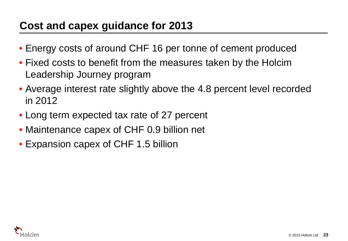# **Cost and capex guidance for 2013**

- Energy costs of around CHF 16 per tonne of cement produced
- Fixed costs to benefit from the measures taken by the Holcim Leadership Journey program
- Average interest rate slightly above the 4.8 percent level recorded in 2012
- Long term expected tax rate of 27 percent
- Maintenance capex of CHF 0.9 billion net
- Expansion capex of CHF 1.5 billion

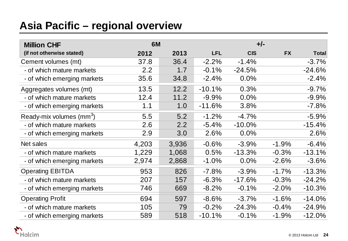# **Asia Pacific – regional overview**

| <b>Million CHF</b>                | 6M    |       |            |            |           |              |
|-----------------------------------|-------|-------|------------|------------|-----------|--------------|
| (if not otherwise stated)         | 2012  | 2013  | <b>LFL</b> | <b>CIS</b> | <b>FX</b> | <b>Total</b> |
| Cement volumes (mt)               | 37.8  | 36.4  | $-2.2%$    | $-1.4%$    |           | $-3.7%$      |
| - of which mature markets         | 2.2   | 1.7   | $-0.1%$    | $-24.5%$   |           | $-24.6%$     |
| - of which emerging markets       | 35.6  | 34.8  | $-2.4%$    | 0.0%       |           | $-2.4%$      |
| Aggregates volumes (mt)           | 13.5  | 12.2  | $-10.1%$   | 0.3%       |           | $-9.7%$      |
| - of which mature markets         | 12.4  | 11.2  | $-9.9%$    | 0.0%       |           | $-9.9%$      |
| - of which emerging markets       | 1.1   | 1.0   | $-11.6%$   | 3.8%       |           | $-7.8%$      |
| Ready-mix volumes $\text{(mm}^3)$ | 5.5   | 5.2   | $-1.2%$    | $-4.7%$    |           | $-5.9%$      |
| - of which mature markets         | 2.6   | 2.2   | $-5.4%$    | $-10.0%$   |           | $-15.4%$     |
| - of which emerging markets       | 2.9   | 3.0   | 2.6%       | 0.0%       |           | 2.6%         |
| Net sales                         | 4,203 | 3,936 | $-0.6%$    | $-3.9%$    | $-1.9%$   | $-6.4%$      |
| - of which mature markets         | 1,229 | 1,068 | 0.5%       | -13.3%     | $-0.3%$   | $-13.1%$     |
| - of which emerging markets       | 2,974 | 2,868 | $-1.0%$    | 0.0%       | $-2.6%$   | $-3.6%$      |
| <b>Operating EBITDA</b>           | 953   | 826   | $-7.8%$    | $-3.9%$    | $-1.7%$   | $-13.3%$     |
| - of which mature markets         | 207   | 157   | $-6.3%$    | $-17.6%$   | $-0.3%$   | $-24.2%$     |
| - of which emerging markets       | 746   | 669   | $-8.2%$    | $-0.1%$    | $-2.0%$   | $-10.3%$     |
| <b>Operating Profit</b>           | 694   | 597   | $-8.6%$    | $-3.7%$    | $-1.6%$   | $-14.0%$     |
| - of which mature markets         | 105   | 79    | $-0.2%$    | $-24.3%$   | $-0.4%$   | $-24.9%$     |
| - of which emerging markets       | 589   | 518   | $-10.1%$   | $-0.1%$    | $-1.9%$   | $-12.0%$     |

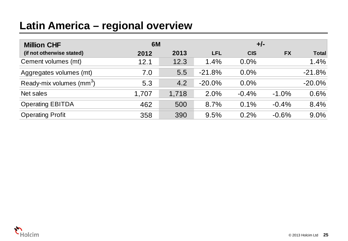# **Latin America – regional overview**

| <b>Million CHF</b>                   | <b>6M</b> |       |            | $+/-$      |           |              |
|--------------------------------------|-----------|-------|------------|------------|-----------|--------------|
| (if not otherwise stated)            | 2012      | 2013  | <b>LFL</b> | <b>CIS</b> | <b>FX</b> | <b>Total</b> |
| Cement volumes (mt)                  | 12.1      | 12.3  | 1.4%       | 0.0%       |           | 1.4%         |
| Aggregates volumes (mt)              | 7.0       | 5.5   | $-21.8%$   | 0.0%       |           | $-21.8%$     |
| Ready-mix volumes (mm <sup>3</sup> ) | 5.3       | 4.2   | $-20.0\%$  | 0.0%       |           | $-20.0%$     |
| Net sales                            | 1,707     | 1,718 | 2.0%       | $-0.4%$    | $-1.0%$   | 0.6%         |
| <b>Operating EBITDA</b>              | 462       | 500   | 8.7%       | 0.1%       | $-0.4%$   | 8.4%         |
| <b>Operating Profit</b>              | 358       | 390   | 9.5%       | 0.2%       | $-0.6%$   | 9.0%         |

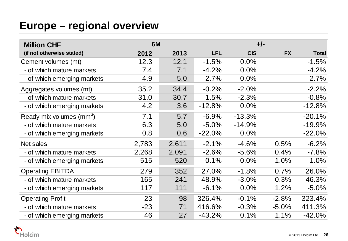# **Europe – regional overview**

| <b>Million CHF</b>                   |       | 6M    |            |            | $+/-$     |              |  |  |
|--------------------------------------|-------|-------|------------|------------|-----------|--------------|--|--|
| (if not otherwise stated)            | 2012  | 2013  | <b>LFL</b> | <b>CIS</b> | <b>FX</b> | <b>Total</b> |  |  |
| Cement volumes (mt)                  | 12.3  | 12.1  | $-1.5%$    | 0.0%       |           | $-1.5%$      |  |  |
| - of which mature markets            | 7.4   | 7.1   | $-4.2%$    | 0.0%       |           | $-4.2%$      |  |  |
| - of which emerging markets          | 4.9   | 5.0   | 2.7%       | 0.0%       |           | 2.7%         |  |  |
| Aggregates volumes (mt)              | 35.2  | 34.4  | $-0.2%$    | $-2.0%$    |           | $-2.2%$      |  |  |
| - of which mature markets            | 31.0  | 30.7  | 1.5%       | $-2.3%$    |           | $-0.8%$      |  |  |
| - of which emerging markets          | 4.2   | 3.6   | $-12.8%$   | 0.0%       |           | $-12.8%$     |  |  |
| Ready-mix volumes (mm <sup>3</sup> ) | 7.1   | 5.7   | $-6.9%$    | $-13.3%$   |           | $-20.1%$     |  |  |
| - of which mature markets            | 6.3   | 5.0   | $-5.0%$    | $-14.9%$   |           | $-19.9%$     |  |  |
| - of which emerging markets          | 0.8   | 0.6   | $-22.0%$   | 0.0%       |           | $-22.0%$     |  |  |
| Net sales                            | 2,783 | 2,611 | $-2.1%$    | $-4.6%$    | 0.5%      | $-6.2%$      |  |  |
| - of which mature markets            | 2,268 | 2,091 | $-2.6%$    | $-5.6%$    | 0.4%      | $-7.8%$      |  |  |
| - of which emerging markets          | 515   | 520   | 0.1%       | 0.0%       | 1.0%      | 1.0%         |  |  |
| <b>Operating EBITDA</b>              | 279   | 352   | 27.0%      | $-1.8%$    | 0.7%      | 26.0%        |  |  |
| - of which mature markets            | 165   | 241   | 48.9%      | $-3.0\%$   | 0.3%      | 46.3%        |  |  |
| - of which emerging markets          | 117   | 111   | $-6.1%$    | 0.0%       | 1.2%      | $-5.0%$      |  |  |
| <b>Operating Profit</b>              | 23    | 98    | 326.4%     | $-0.1%$    | $-2.8%$   | 323.4%       |  |  |
| - of which mature markets            | $-23$ | 71    | 416.6%     | $-0.3%$    | $-5.0%$   | 411.3%       |  |  |
| - of which emerging markets          | 46    | 27    | $-43.2%$   | 0.1%       | 1.1%      | $-42.0%$     |  |  |

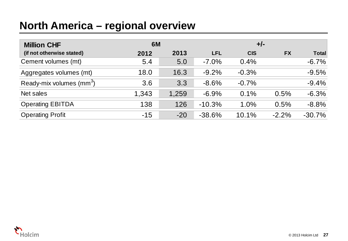# **North America – regional overview**

| <b>Million CHF</b>                   | <b>6M</b> |       |            | $+/-$      |           |              |
|--------------------------------------|-----------|-------|------------|------------|-----------|--------------|
| (if not otherwise stated)            | 2012      | 2013  | <b>LFL</b> | <b>CIS</b> | <b>FX</b> | <b>Total</b> |
| Cement volumes (mt)                  | 5.4       | 5.0   | $-7.0\%$   | 0.4%       |           | $-6.7%$      |
| Aggregates volumes (mt)              | 18.0      | 16.3  | $-9.2%$    | $-0.3%$    |           | $-9.5%$      |
| Ready-mix volumes (mm <sup>3</sup> ) | 3.6       | 3.3   | $-8.6%$    | $-0.7%$    |           | $-9.4%$      |
| Net sales                            | 1,343     | 1,259 | $-6.9%$    | 0.1%       | 0.5%      | $-6.3%$      |
| <b>Operating EBITDA</b>              | 138       | 126   | $-10.3%$   | 1.0%       | 0.5%      | $-8.8%$      |
| <b>Operating Profit</b>              | $-15$     | $-20$ | $-38.6%$   | 10.1%      | $-2.2%$   | $-30.7%$     |

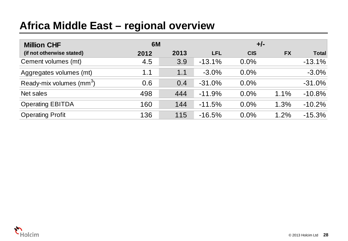# **Africa Middle East – regional overview**

| <b>Million CHF</b>                   | <b>6M</b> |      |            | $+/-$      |           |              |
|--------------------------------------|-----------|------|------------|------------|-----------|--------------|
| (if not otherwise stated)            | 2012      | 2013 | <b>LFL</b> | <b>CIS</b> | <b>FX</b> | <b>Total</b> |
| Cement volumes (mt)                  | 4.5       | 3.9  | $-13.1%$   | $0.0\%$    |           | $-13.1%$     |
| Aggregates volumes (mt)              | 1.1       | 1.1  | $-3.0\%$   | $0.0\%$    |           | $-3.0%$      |
| Ready-mix volumes (mm <sup>3</sup> ) | 0.6       | 0.4  | $-31.0%$   | $0.0\%$    |           | $-31.0%$     |
| Net sales                            | 498       | 444  | $-11.9%$   | $0.0\%$    | 1.1%      | $-10.8%$     |
| <b>Operating EBITDA</b>              | 160       | 144  | $-11.5%$   | $0.0\%$    | 1.3%      | $-10.2%$     |
| <b>Operating Profit</b>              | 136       | 115  | $-16.5%$   | 0.0%       | 1.2%      | $-15.3%$     |

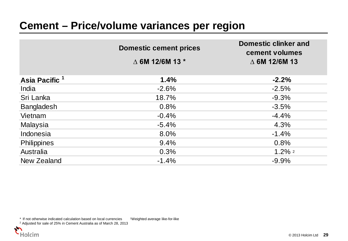|                           | <b>Domestic cement prices</b> | <b>Domestic clinker and</b><br>cement volumes |
|---------------------------|-------------------------------|-----------------------------------------------|
|                           | $\triangle$ 6M 12/6M 13 $*$   | $\triangle$ 6M 12/6M 13                       |
| Asia Pacific <sup>1</sup> | 1.4%                          | $-2.2%$                                       |
| India                     | $-2.6%$                       | $-2.5%$                                       |
| Sri Lanka                 | 18.7%                         | $-9.3%$                                       |
| <b>Bangladesh</b>         | 0.8%                          | $-3.5%$                                       |
| Vietnam                   | $-0.4%$                       | $-4.4%$                                       |
| Malaysia                  | $-5.4%$                       | 4.3%                                          |
| Indonesia                 | 8.0%                          | $-1.4%$                                       |
| <b>Philippines</b>        | 9.4%                          | 0.8%                                          |
| Australia                 | 0.3%                          | $1.2\%$ 2                                     |
| New Zealand               | $-1.4%$                       | $-9.9%$                                       |

\* If not otherwise indicated calculation based on local currencies 1Weighted average like-for-like

<sup>2</sup> Adjusted for sale of 25% in Cement Australia as of March 28, 2013

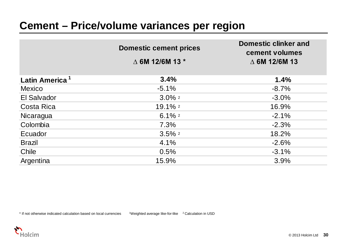|                            | <b>Domestic cement prices</b><br>$\triangle$ 6M 12/6M 13 $*$ | <b>Domestic clinker and</b><br>cement volumes<br>$\triangle$ 6M 12/6M 13 |
|----------------------------|--------------------------------------------------------------|--------------------------------------------------------------------------|
| Latin America <sup>1</sup> | 3.4%                                                         | 1.4%                                                                     |
| <b>Mexico</b>              | $-5.1%$                                                      | $-8.7%$                                                                  |
| El Salvador                | $3.0\%$ <sup>2</sup>                                         | $-3.0%$                                                                  |
| Costa Rica                 | 19.1% 2                                                      | 16.9%                                                                    |
| Nicaragua                  | 6.1% $2$                                                     | $-2.1%$                                                                  |
| Colombia                   | 7.3%                                                         | $-2.3%$                                                                  |
| Ecuador                    | $3.5\%$ 2                                                    | 18.2%                                                                    |
| <b>Brazil</b>              | 4.1%                                                         | $-2.6%$                                                                  |
| Chile                      | 0.5%                                                         | $-3.1%$                                                                  |
| Argentina                  | 15.9%                                                        | 3.9%                                                                     |

\* If not otherwise indicated calculation based on local currencies 1Weighted average like-for-like 2 Calculation in USD

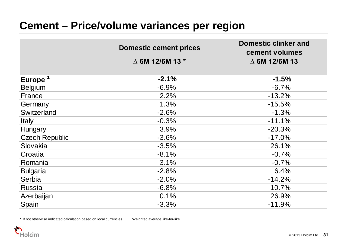|                       | <b>Domestic cement prices</b> | <b>Domestic clinker and</b><br>cement volumes |
|-----------------------|-------------------------------|-----------------------------------------------|
|                       | $\triangle$ 6M 12/6M 13 $*$   | $\triangle$ 6M 12/6M 13                       |
| Europe <sup>1</sup>   | $-2.1%$                       | $-1.5%$                                       |
| <b>Belgium</b>        | $-6.9%$                       | $-6.7%$                                       |
| France                | 2.2%                          | $-13.2%$                                      |
| Germany               | 1.3%                          | $-15.5%$                                      |
| Switzerland           | $-2.6%$                       | $-1.3%$                                       |
| <b>Italy</b>          | $-0.3%$                       | $-11.1%$                                      |
| Hungary               | 3.9%                          | $-20.3%$                                      |
| <b>Czech Republic</b> | $-3.6%$                       | $-17.0%$                                      |
| Slovakia              | $-3.5%$                       | 26.1%                                         |
| Croatia               | $-8.1%$                       | $-0.7%$                                       |
| Romania               | 3.1%                          | $-0.7%$                                       |
| <b>Bulgaria</b>       | $-2.8%$                       | 6.4%                                          |
| Serbia                | $-2.0%$                       | $-14.2%$                                      |
| <b>Russia</b>         | $-6.8%$                       | 10.7%                                         |
| Azerbaijan            | 0.1%                          | 26.9%                                         |
| Spain                 | $-3.3%$                       | $-11.9%$                                      |

\* If not otherwise indicated calculation based on local currencies 1 Weighted average like-for-like

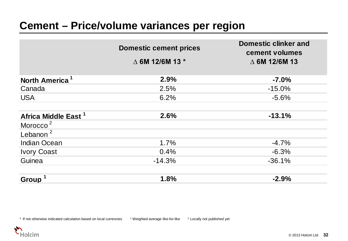|                                 | <b>Domestic cement prices</b> | <b>Domestic clinker and</b><br>cement volumes |
|---------------------------------|-------------------------------|-----------------------------------------------|
|                                 | $\triangle$ 6M 12/6M 13 $*$   | $\triangle$ 6M 12/6M 13                       |
| North America <sup>1</sup>      | 2.9%                          | $-7.0%$                                       |
| Canada                          | 2.5%                          | $-15.0%$                                      |
| <b>USA</b>                      | 6.2%                          | $-5.6%$                                       |
| Africa Middle East <sup>1</sup> | 2.6%                          | $-13.1%$                                      |
| Morocco <sup>2</sup>            |                               |                                               |
| Lebanon $^2$                    |                               |                                               |
| <b>Indian Ocean</b>             | 1.7%                          | $-4.7%$                                       |
| <b>Ivory Coast</b>              | 0.4%                          | $-6.3%$                                       |
| Guinea                          | $-14.3%$                      | $-36.1%$                                      |
| <b>Group</b>                    | 1.8%                          | $-2.9%$                                       |

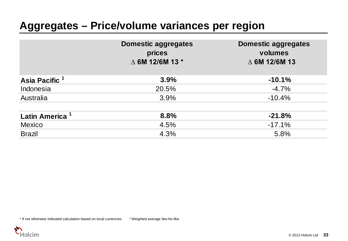# **Aggregates – Price/volume variances per region**

|                            | <b>Domestic aggregates</b><br>prices<br>$\triangle$ 6M 12/6M 13 $*$ | <b>Domestic aggregates</b><br>volumes<br>$\triangle$ 6M 12/6M 13 |
|----------------------------|---------------------------------------------------------------------|------------------------------------------------------------------|
| Asia Pacific <sup>1</sup>  | 3.9%                                                                | $-10.1%$                                                         |
| Indonesia                  | 20.5%                                                               | $-4.7%$                                                          |
| Australia                  | 3.9%                                                                | $-10.4%$                                                         |
| Latin America <sup>1</sup> | 8.8%                                                                | $-21.8%$                                                         |
| <b>Mexico</b>              | 4.5%                                                                | $-17.1%$                                                         |
| <b>Brazil</b>              | 4.3%                                                                | 5.8%                                                             |

\* If not otherwise indicated calculation based on local currencies 1 Weighted average like-for-like

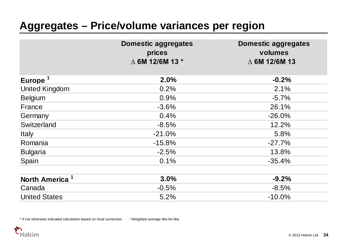# **Aggregates – Price/volume variances per region**

|                            | <b>Domestic aggregates</b><br>prices<br>△ 6M 12/6M 13 * | <b>Domestic aggregates</b><br>volumes<br>$\triangle$ 6M 12/6M 13 |
|----------------------------|---------------------------------------------------------|------------------------------------------------------------------|
| Europe <sup>1</sup>        | 2.0%                                                    | $-0.2%$                                                          |
| <b>United Kingdom</b>      | 0.2%                                                    | 2.1%                                                             |
| <b>Belgium</b>             | 0.9%                                                    | $-5.7%$                                                          |
| France                     | $-3.6%$                                                 | 26.1%                                                            |
| Germany                    | 0.4%                                                    | $-26.0%$                                                         |
| Switzerland                | $-8.5%$                                                 | 12.2%                                                            |
| <b>Italy</b>               | $-21.0%$                                                | 5.8%                                                             |
| Romania                    | $-15.8%$                                                | $-27.7%$                                                         |
| <b>Bulgaria</b>            | $-2.5%$                                                 | 13.8%                                                            |
| Spain                      | 0.1%                                                    | $-35.4%$                                                         |
| North America <sup>1</sup> | 3.0%                                                    | $-9.2%$                                                          |
| Canada                     | $-0.5%$                                                 | $-8.5%$                                                          |
| <b>United States</b>       | 5.2%                                                    | $-10.0%$                                                         |

\* If not otherwise indicated calculation based on local currencies 1 Weighted average like-for-like

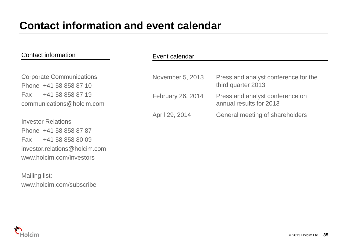### Contact information

Corporate Communications Phone +41 58 858 87 10 Fax +41 58 858 87 19 communications@holcim.com

Investor Relations Phone +41 58 858 87 87 Fax +41 58 858 80 09 investor.relations@holcim.com www.holcim.com/investors

Mailing list: www.holcim.com/subscribe

|  |  | Event calendar |
|--|--|----------------|
|--|--|----------------|

| November 5, 2013  | Press and analyst conference for the<br>third quarter 2013 |
|-------------------|------------------------------------------------------------|
| February 26, 2014 | Press and analyst conference on<br>annual results for 2013 |
| April 29, 2014    | General meeting of shareholders                            |

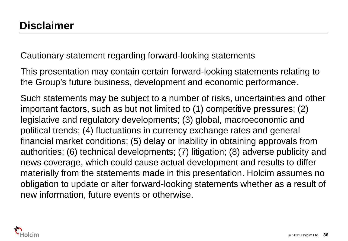Cautionary statement regarding forward-looking statements

This presentation may contain certain forward-looking statements relating to the Group's future business, development and economic performance.

Such statements may be subject to a number of risks, uncertainties and other important factors, such as but not limited to (1) competitive pressures; (2) legislative and regulatory developments; (3) global, macroeconomic and political trends; (4) fluctuations in currency exchange rates and general financial market conditions; (5) delay or inability in obtaining approvals from authorities; (6) technical developments; (7) litigation; (8) adverse publicity and news coverage, which could cause actual development and results to differ materially from the statements made in this presentation. Holcim assumes no obligation to update or alter forward-looking statements whether as a result of new information, future events or otherwise.

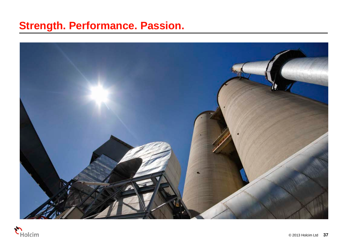# **Strength. Performance. Passion.**